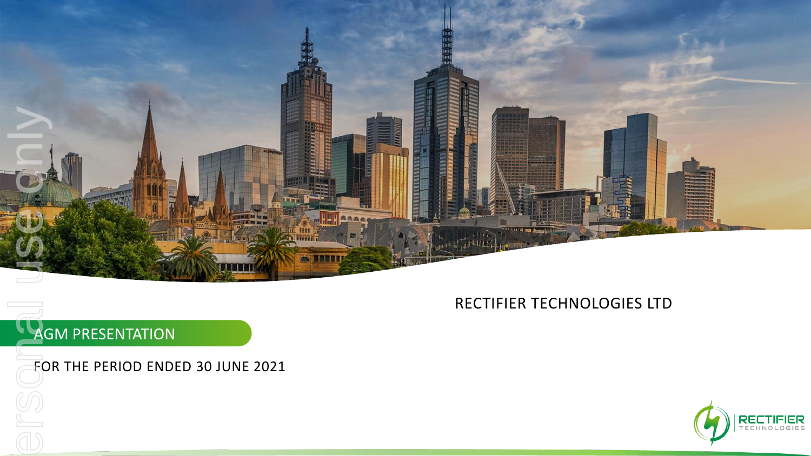

## RECTIFIER TECHNOLOGIES LTD

# AGM PRESENTATION

### FOR THE PERIOD ENDED 30 JUNE 2021

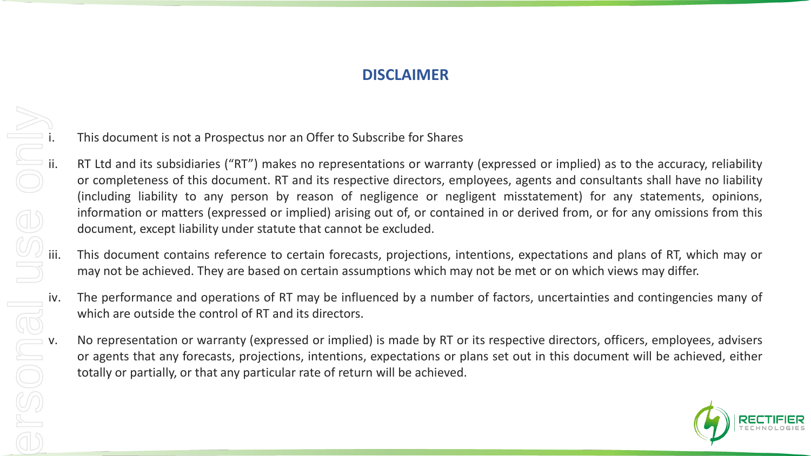## **DISCLAIMER**

- i. This document is not a Prospectus nor an Offer to Subscribe for Shares<br>ii. RT Ltd and its subsidiaries ("RT") makes no representations or warrant<br>or completeness of this document. RT and its respective directors, em<br>(in RT Ltd and its subsidiaries ("RT") makes no representations or warranty (expressed or implied) as to the accuracy, reliability or completeness of this document. RT and its respective directors, employees, agents and consultants shall have no liability (including liability to any person by reason of negligence or negligent misstatement) for any statements, opinions, information or matters (expressed or implied) arising out of, or contained in or derived from, or for any omissions from this document, except liability under statute that cannot be excluded.
	- This document contains reference to certain forecasts, projections, intentions, expectations and plans of RT, which may or may not be achieved. They are based on certain assumptions which may not be met or on which views may differ.
	- which are outside the control of RT and its directors.
- iv. The performance and operations of RT may be influenced by a number of factors, uncertainties and contingencies many of which are outside the control of RT and its directors.<br>
V. No representation or warranty (expressed No representation or warranty (expressed or implied) is made by RT or its respective directors, officers, employees, advisers or agents that any forecasts, projections, intentions, expectations or plans set out in this document will be achieved, either totally or partially, or that any particular rate of return will be achieved.

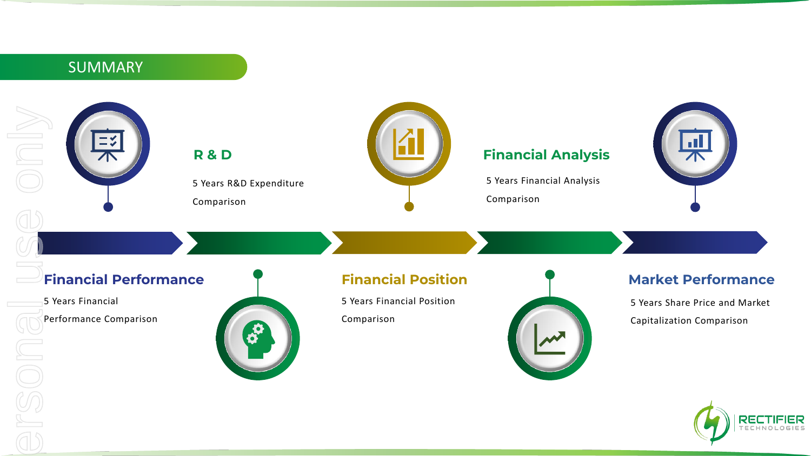## SUMMARY





#### **Financial Analysis**

5 Years Financial Analysis

Comparison



#### **Financial Performance**

5 Years R&D Expenditure

Comparison

**R & D**

5 Years Financial

Performance Comparison



5 Years Financial Position Comparison



#### **Market Performance**

5 Years Share Price and Market Capitalization Comparison



ersonal use only O<br>V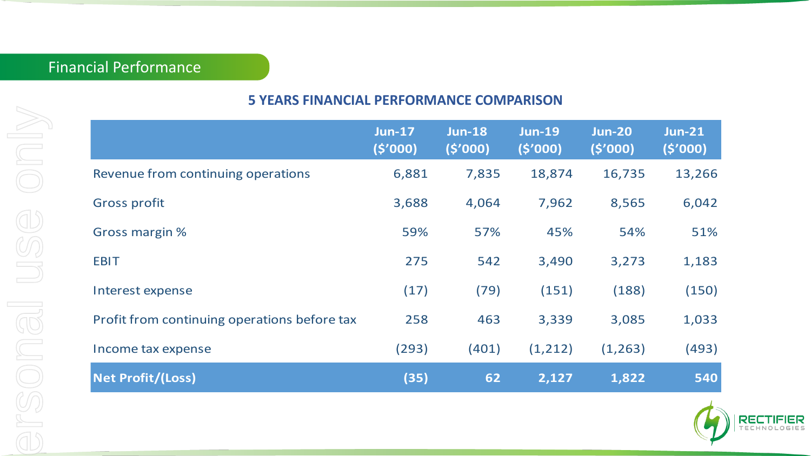## Financial Performance

## **5 YEARS FINANCIAL PERFORMANCE COMPARISON**

|                                              | <b>Jun-17</b><br>(5'000) | <b>Jun-18</b><br>(5'000) | <b>Jun-19</b><br>(5'000) | <b>Jun-20</b><br>(5'000) | <b>Jun-21</b><br>(5'000) |
|----------------------------------------------|--------------------------|--------------------------|--------------------------|--------------------------|--------------------------|
| Revenue from continuing operations           | 6,881                    | 7,835                    | 18,874                   | 16,735                   | 13,266                   |
| <b>Gross profit</b>                          | 3,688                    | 4,064                    | 7,962                    | 8,565                    | 6,042                    |
| Gross margin %                               | 59%                      | 57%                      | 45%                      | 54%                      | 51%                      |
| <b>EBIT</b>                                  | 275                      | 542                      | 3,490                    | 3,273                    | 1,183                    |
| Interest expense                             | (17)                     | (79)                     | (151)                    | (188)                    | (150)                    |
| Profit from continuing operations before tax | 258                      | 463                      | 3,339                    | 3,085                    | 1,033                    |
| Income tax expense                           | (293)                    | (401)                    | (1, 212)                 | (1, 263)                 | (493)                    |
| <b>Net Profit/(Loss)</b>                     | (35)                     | 62                       | 2,127                    | 1,822                    | 540                      |
|                                              |                          |                          |                          |                          |                          |
|                                              |                          |                          |                          |                          |                          |

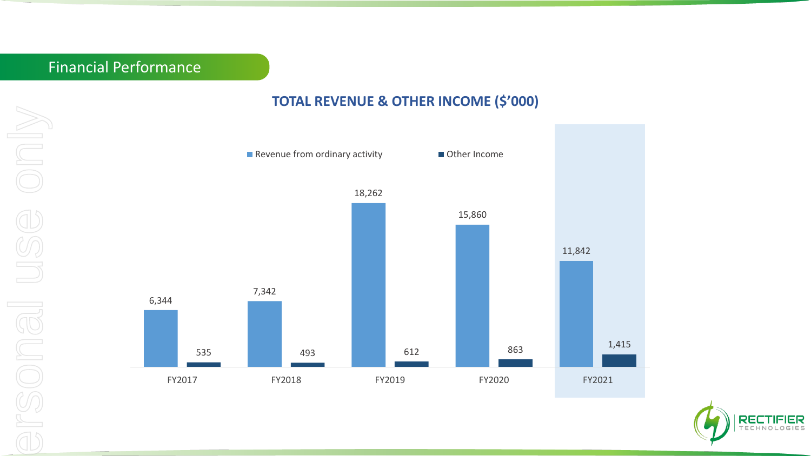## Financial Performance

#### **TOTAL REVENUE & OTHER INCOME (\$'000)**



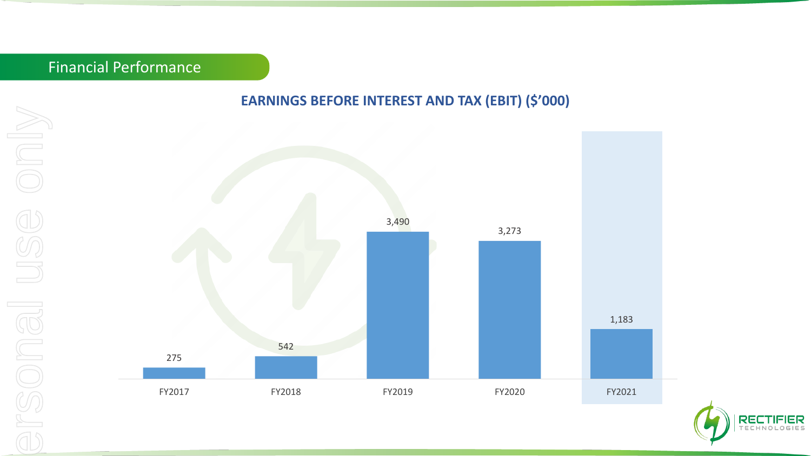# Financial Performance

## **EARNINGS BEFORE INTEREST AND TAX (EBIT) (\$'000)**



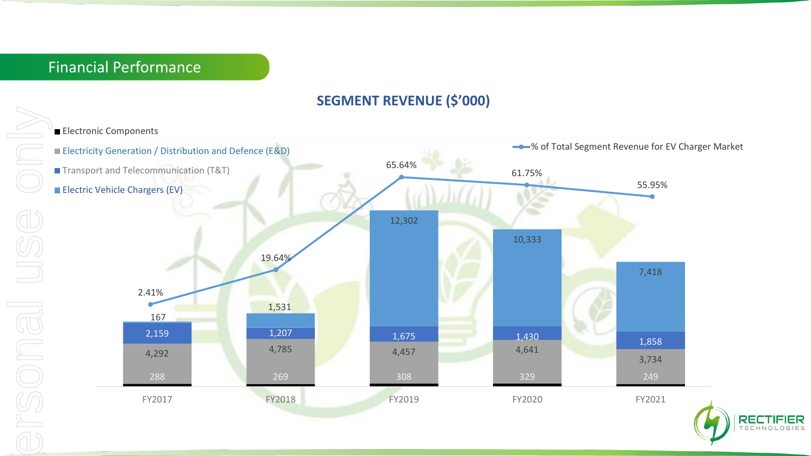### **SEGMENT REVENUE (\$'000)**

**Electronic Components** 



 $O GIES$ 

ersonal use only U IBUOS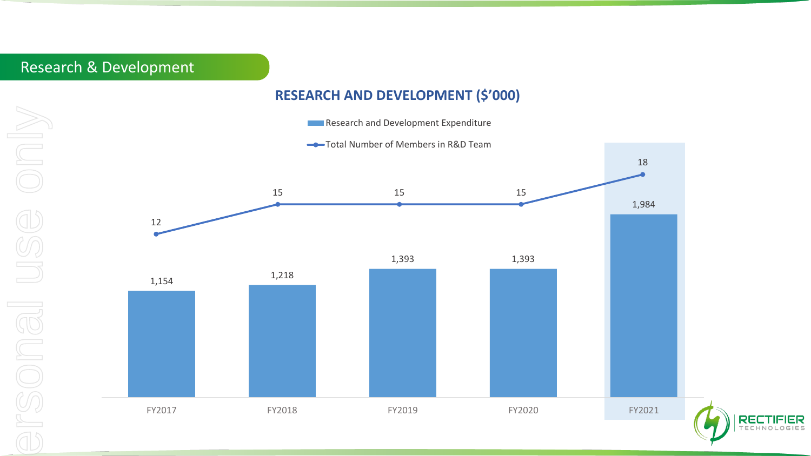# Research & Development

#### **RESEARCH AND DEVELOPMENT (\$'000)**

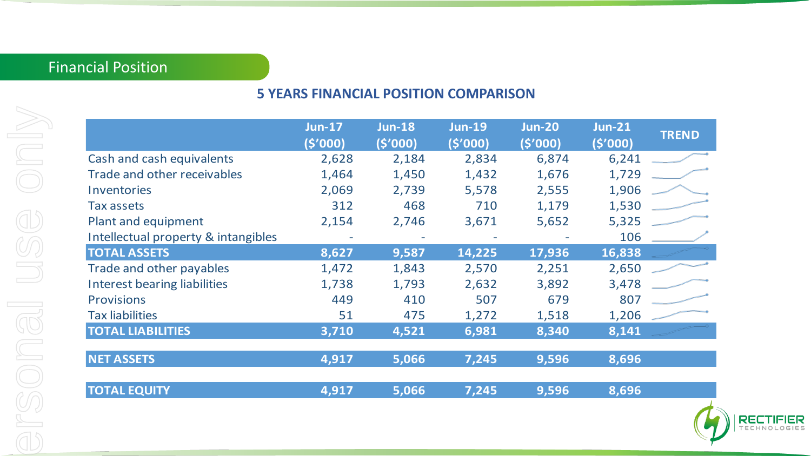# Financial Position

| I                                      |
|----------------------------------------|
| L<br>J<br>$\overline{\mathbf{I}}$<br>l |
| l<br>I<br>l<br>I<br>I<br>I             |
| Į<br>١<br>j<br>١<br>١<br>I<br>١        |
|                                        |
| l<br>j<br>١<br>Ì<br>l<br>I<br>l<br>I   |
| I<br>I                                 |
| j<br>١<br>l                            |
| l<br>l<br>1<br>١<br>I                  |

### **5 YEARS FINANCIAL POSITION COMPARISON**

|                                     | <b>Jun-17</b><br>(\$'000) | <b>Jun-18</b><br>(5'000) | <b>Jun-19</b><br>(5'000) | <b>Jun-20</b><br>(5'000) | <b>Jun-21</b><br>(5'000) |
|-------------------------------------|---------------------------|--------------------------|--------------------------|--------------------------|--------------------------|
| Cash and cash equivalents           | 2,628                     | 2,184                    | 2,834                    | 6,874                    | 6,241                    |
| Trade and other receivables         | 1,464                     | 1,450                    | 1,432                    | 1,676                    | 1,729                    |
| Inventories                         | 2,069                     | 2,739                    | 5,578                    | 2,555                    | 1,906                    |
| Tax assets                          | 312                       | 468                      | 710                      | 1,179                    | 1,530                    |
| Plant and equipment                 | 2,154                     | 2,746                    | 3,671                    | 5,652                    | 5,325                    |
| Intellectual property & intangibles |                           |                          |                          |                          | 106                      |
| <b>TOTAL ASSETS</b>                 | 8,627                     | 9,587                    | 14,225                   | 17,936                   | 16,838                   |
| Trade and other payables            | 1,472                     | 1,843                    | 2,570                    | 2,251                    | 2,650                    |
| <b>Interest bearing liabilities</b> | 1,738                     | 1,793                    | 2,632                    | 3,892                    | 3,478                    |
| <b>Provisions</b>                   | 449                       | 410                      | 507                      | 679                      | 807                      |
| <b>Tax liabilities</b>              | 51                        | 475                      | 1,272                    | 1,518                    | 1,206                    |
| <b>TOTAL LIABILITIES</b>            | 3,710                     | 4,521                    | 6,981                    | 8,340                    | 8,141                    |
| <b>NET ASSETS</b>                   | 4,917                     | 5,066                    | 7,245                    | 9,596                    | 8,696                    |
| <b>TOTAL EQUITY</b>                 | 4,917                     | 5,066                    | 7,245                    | 9,596                    | 8,696                    |
|                                     |                           |                          |                          |                          |                          |

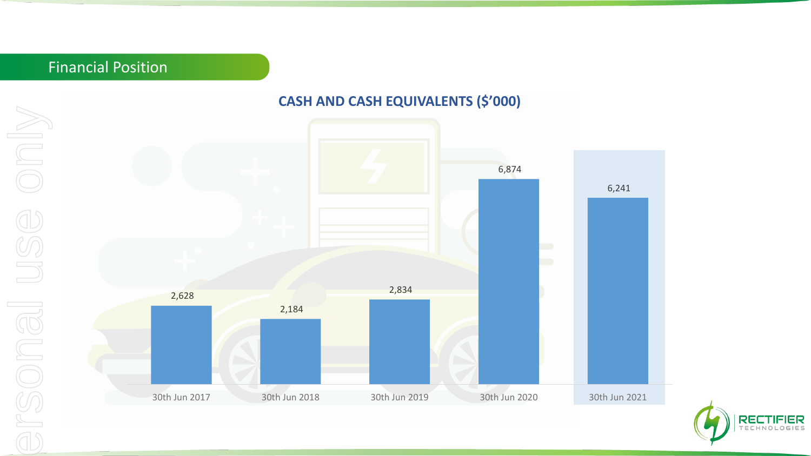## Financial Position

#### **CASH AND CASH EQUIVALENTS (\$'000)**





Only ersonal use only **BONGI US**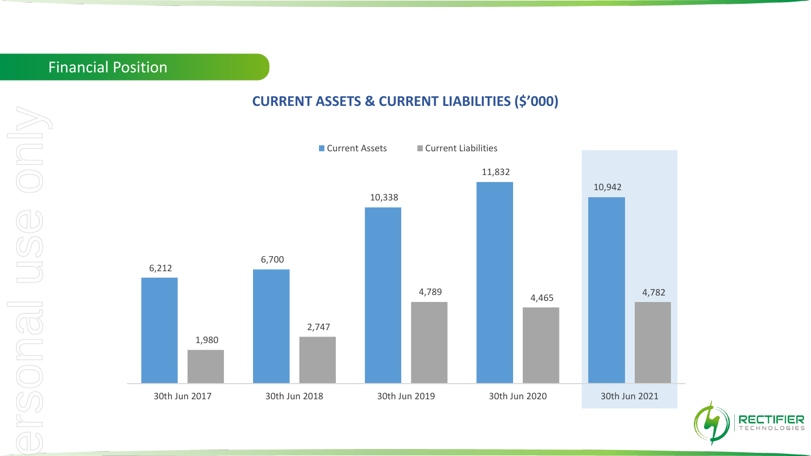## Financial Position

#### **CURRENT ASSETS & CURRENT LIABILITIES (\$'000)**



**RECTIFIER TECHNOLOGIES**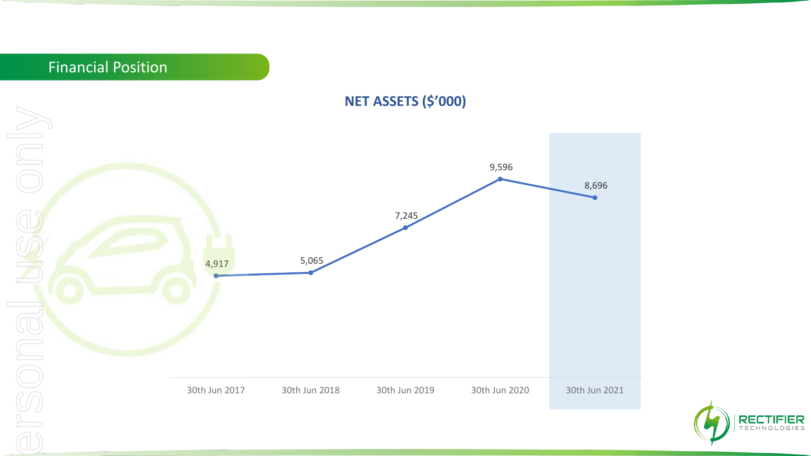

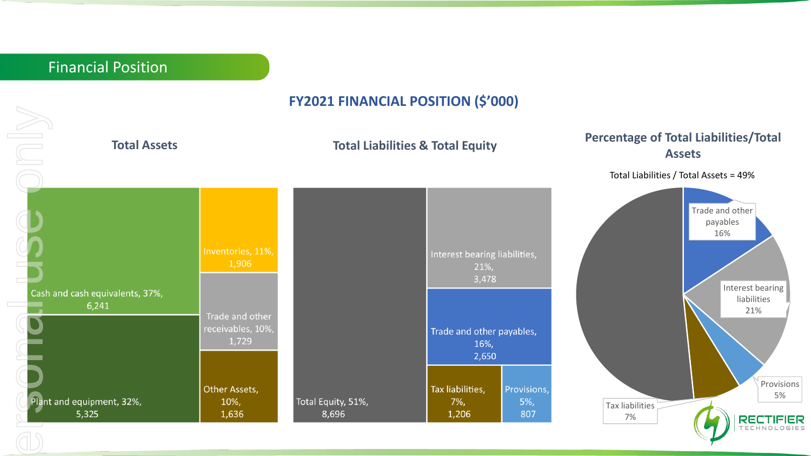#### **FY2021 FINANCIAL POSITION (\$'000)**

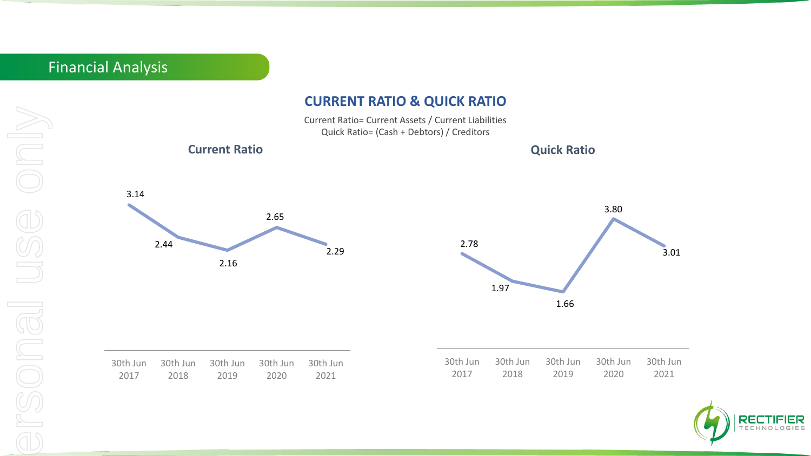## Financial Analysis

#### **CURRENT RATIO & QUICK RATIO**

Current Ratio= Current Assets / Current Liabilities Quick Ratio= (Cash + Debtors) / Creditors





3.01

30th Jun 2021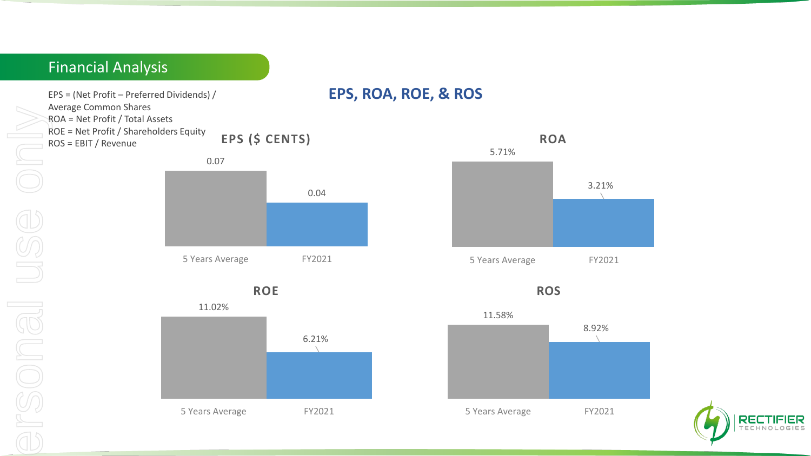## Financial Analysis

EPS = (Net Profit – Preferred Dividends) / **EPS, ROA, ROE, & ROS**  Average Common Shares ROA = Net Profit / Total Assets

ROE = Net Profit / Shareholders Equity ROS = EBIT / Revenue **EPS (\$ CENTS)**



**ROE**





**ROS** 



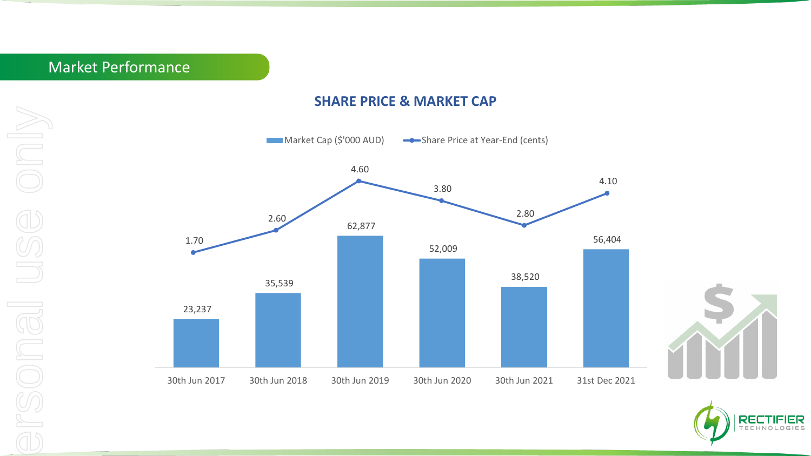#### **SHARE PRICE & MARKET CAP**